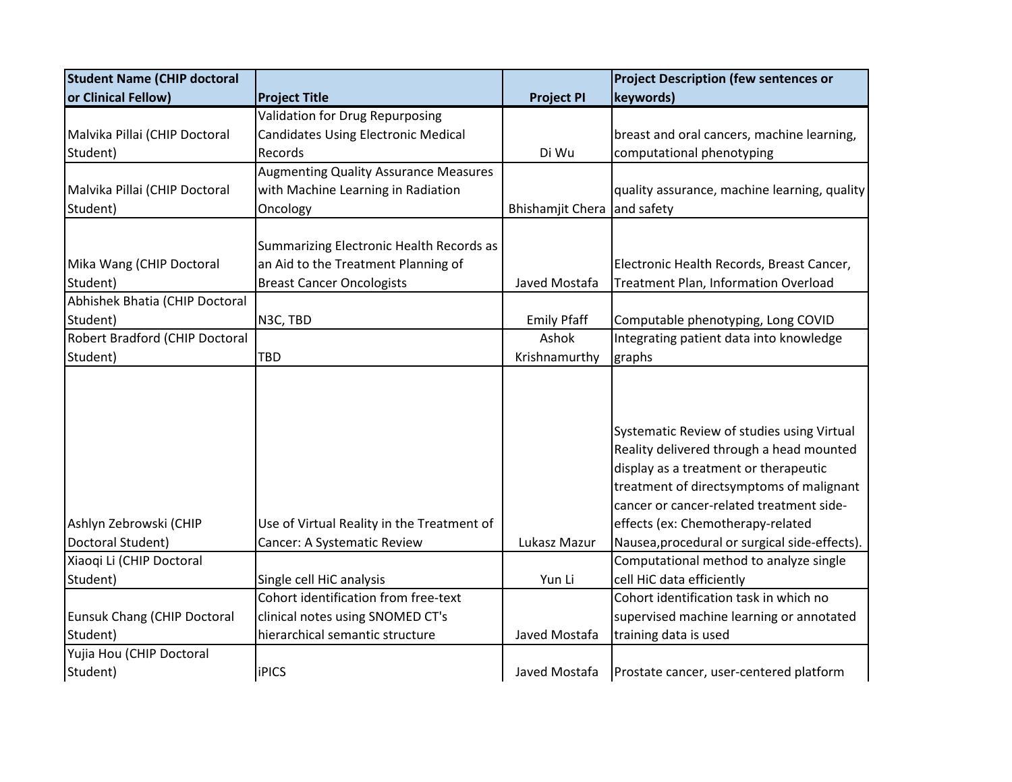| <b>Student Name (CHIP doctoral</b>          |                                                                           |                             | <b>Project Description (few sentences or</b>                                           |
|---------------------------------------------|---------------------------------------------------------------------------|-----------------------------|----------------------------------------------------------------------------------------|
| or Clinical Fellow)                         | <b>Project Title</b>                                                      | <b>Project PI</b>           | keywords)                                                                              |
|                                             | <b>Validation for Drug Repurposing</b>                                    |                             |                                                                                        |
| Malvika Pillai (CHIP Doctoral               | <b>Candidates Using Electronic Medical</b>                                |                             | breast and oral cancers, machine learning,                                             |
| Student)                                    | Records                                                                   | Di Wu                       | computational phenotyping                                                              |
|                                             | <b>Augmenting Quality Assurance Measures</b>                              |                             |                                                                                        |
| Malvika Pillai (CHIP Doctoral               | with Machine Learning in Radiation                                        |                             | quality assurance, machine learning, quality                                           |
| Student)                                    | Oncology                                                                  | Bhishamjit Chera and safety |                                                                                        |
|                                             |                                                                           |                             |                                                                                        |
|                                             | Summarizing Electronic Health Records as                                  |                             |                                                                                        |
| Mika Wang (CHIP Doctoral                    | an Aid to the Treatment Planning of                                       |                             | Electronic Health Records, Breast Cancer,                                              |
| Student)                                    | <b>Breast Cancer Oncologists</b>                                          | Javed Mostafa               | Treatment Plan, Information Overload                                                   |
| Abhishek Bhatia (CHIP Doctoral              |                                                                           |                             |                                                                                        |
| Student)                                    | N3C, TBD                                                                  | <b>Emily Pfaff</b>          | Computable phenotyping, Long COVID                                                     |
| Robert Bradford (CHIP Doctoral              |                                                                           | Ashok                       | Integrating patient data into knowledge                                                |
| Student)                                    | <b>TBD</b>                                                                | Krishnamurthy               | graphs                                                                                 |
|                                             |                                                                           |                             |                                                                                        |
|                                             |                                                                           |                             |                                                                                        |
|                                             |                                                                           |                             | Systematic Review of studies using Virtual<br>Reality delivered through a head mounted |
|                                             |                                                                           |                             | display as a treatment or therapeutic                                                  |
|                                             |                                                                           |                             | treatment of directsymptoms of malignant                                               |
|                                             |                                                                           |                             | cancer or cancer-related treatment side-                                               |
|                                             |                                                                           |                             |                                                                                        |
| Ashlyn Zebrowski (CHIP<br>Doctoral Student) | Use of Virtual Reality in the Treatment of<br>Cancer: A Systematic Review | Lukasz Mazur                | effects (ex: Chemotherapy-related<br>Nausea, procedural or surgical side-effects).     |
| Xiaoqi Li (CHIP Doctoral                    |                                                                           |                             | Computational method to analyze single                                                 |
|                                             |                                                                           |                             |                                                                                        |
| Student)                                    | Single cell HiC analysis<br>Cohort identification from free-text          | Yun Li                      | cell HiC data efficiently<br>Cohort identification task in which no                    |
|                                             |                                                                           |                             |                                                                                        |
| <b>Eunsuk Chang (CHIP Doctoral</b>          | clinical notes using SNOMED CT's                                          |                             | supervised machine learning or annotated                                               |
| Student)                                    | hierarchical semantic structure                                           | Javed Mostafa               | training data is used                                                                  |
| Yujia Hou (CHIP Doctoral                    |                                                                           |                             |                                                                                        |
| Student)                                    | <b>iPICS</b>                                                              | Javed Mostafa               | Prostate cancer, user-centered platform                                                |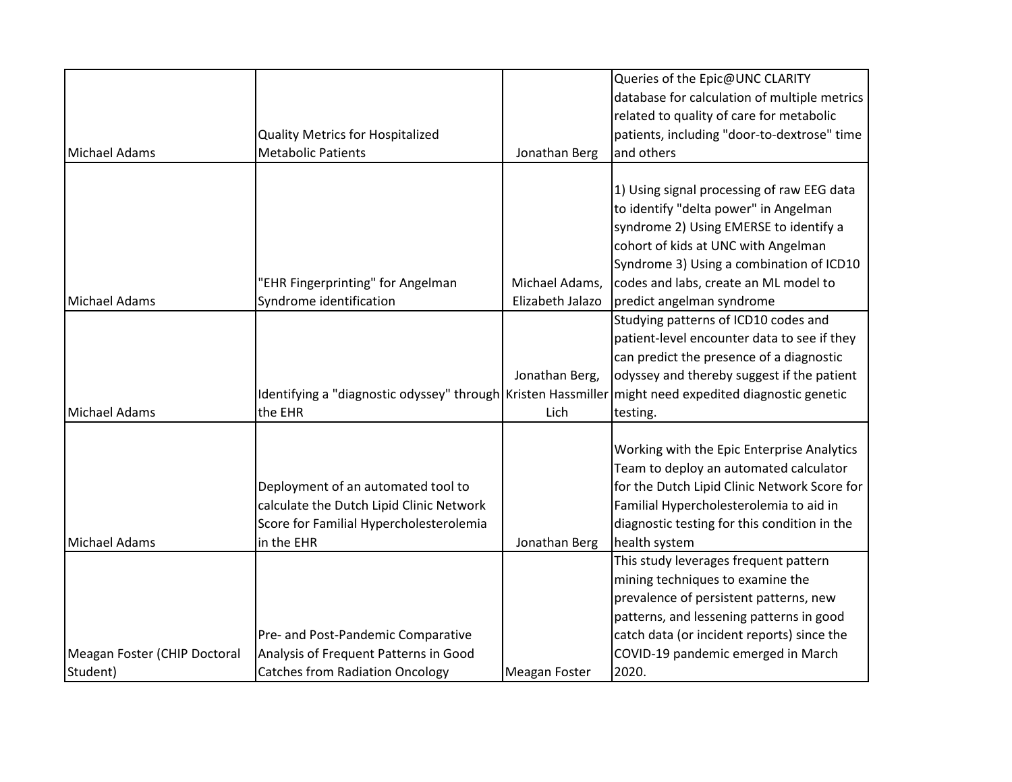|                              |                                                                                                       |                  | Queries of the Epic@UNC CLARITY              |
|------------------------------|-------------------------------------------------------------------------------------------------------|------------------|----------------------------------------------|
|                              |                                                                                                       |                  | database for calculation of multiple metrics |
|                              |                                                                                                       |                  | related to quality of care for metabolic     |
|                              | <b>Quality Metrics for Hospitalized</b>                                                               |                  | patients, including "door-to-dextrose" time  |
| Michael Adams                | <b>Metabolic Patients</b>                                                                             | Jonathan Berg    | and others                                   |
|                              |                                                                                                       |                  |                                              |
|                              |                                                                                                       |                  | 1) Using signal processing of raw EEG data   |
|                              |                                                                                                       |                  | to identify "delta power" in Angelman        |
|                              |                                                                                                       |                  | syndrome 2) Using EMERSE to identify a       |
|                              |                                                                                                       |                  | cohort of kids at UNC with Angelman          |
|                              |                                                                                                       |                  | Syndrome 3) Using a combination of ICD10     |
|                              | 'EHR Fingerprinting" for Angelman                                                                     | Michael Adams,   | codes and labs, create an ML model to        |
| Michael Adams                | Syndrome identification                                                                               | Elizabeth Jalazo | predict angelman syndrome                    |
|                              |                                                                                                       |                  | Studying patterns of ICD10 codes and         |
|                              |                                                                                                       |                  | patient-level encounter data to see if they  |
|                              |                                                                                                       |                  | can predict the presence of a diagnostic     |
|                              |                                                                                                       | Jonathan Berg,   | odyssey and thereby suggest if the patient   |
|                              | Identifying a "diagnostic odyssey" through Kristen Hassmiller might need expedited diagnostic genetic |                  |                                              |
| Michael Adams                | the EHR                                                                                               | Lich             | testing.                                     |
|                              |                                                                                                       |                  |                                              |
|                              |                                                                                                       |                  | Working with the Epic Enterprise Analytics   |
|                              |                                                                                                       |                  | Team to deploy an automated calculator       |
|                              | Deployment of an automated tool to                                                                    |                  | for the Dutch Lipid Clinic Network Score for |
|                              | calculate the Dutch Lipid Clinic Network                                                              |                  | Familial Hypercholesterolemia to aid in      |
|                              | Score for Familial Hypercholesterolemia                                                               |                  | diagnostic testing for this condition in the |
| Michael Adams                | in the EHR                                                                                            | Jonathan Berg    | health system                                |
|                              |                                                                                                       |                  | This study leverages frequent pattern        |
|                              |                                                                                                       |                  | mining techniques to examine the             |
|                              |                                                                                                       |                  | prevalence of persistent patterns, new       |
|                              |                                                                                                       |                  | patterns, and lessening patterns in good     |
|                              | Pre- and Post-Pandemic Comparative                                                                    |                  | catch data (or incident reports) since the   |
| Meagan Foster (CHIP Doctoral | Analysis of Frequent Patterns in Good                                                                 |                  | COVID-19 pandemic emerged in March           |
| Student)                     | <b>Catches from Radiation Oncology</b>                                                                | Meagan Foster    | 2020.                                        |